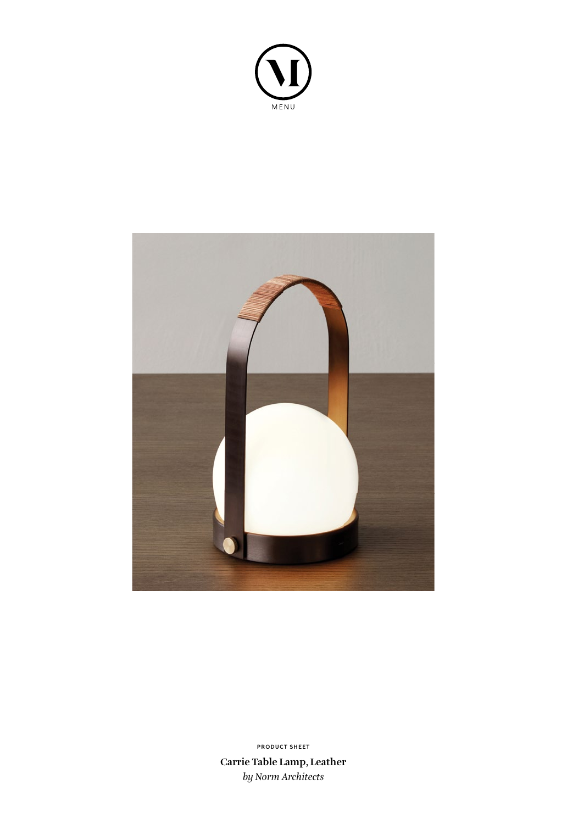



**Carrie Table Lamp, Leather** *by Norm Architects* **PRODUCT SHEET**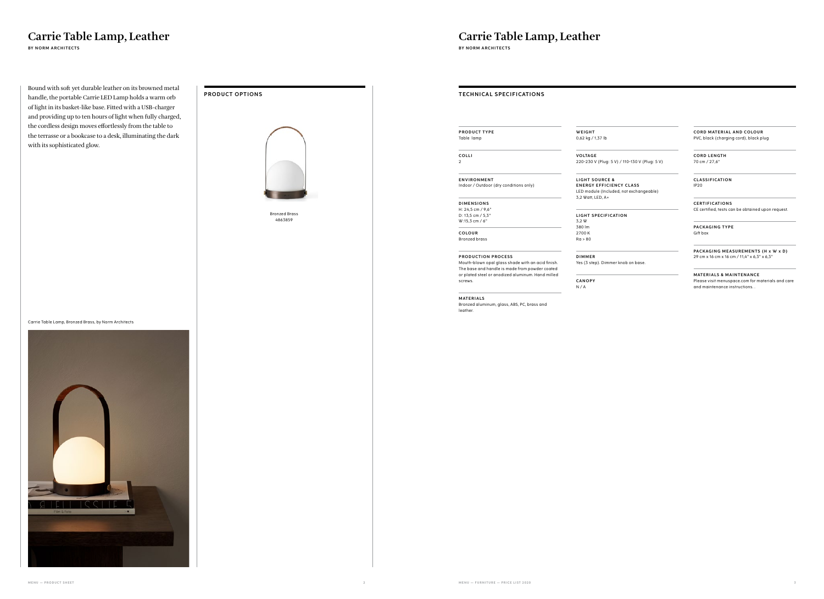/ 1,37 lb

Bound with soft yet durable leather on its browned metal handle, the portable Carrie LED Lamp holds a warm orb of light in its basket-like base. Fitted with a USB-charger and providing up to ten hours of light when fully charged, the cordless design moves effortlessly from the table to the terrasse or a bookcase to a desk, illuminating the dark with its sophisticated glow.



## Carrie Table Lamp, Leather



## Carrie Table Lamp, Leather

**BY NORM ARCHITECTS BY NORM ARCHITECTS**

**CORD MATERIAL AND COLOUR** PVC, black (charging cord), black plug

**CORD LENGTH** 70 cm / 27,6"

**MATERIALS & MAINTENANCE** Please visit menuspace.com for materials and care and maintenance instructions. .

**VO LTAG E**

220-230 V (Plug: 5 V) / 110-130 V (Plug: 5 V)

**SOURCE & Y EFFICIENCY CLASS** dule (Included, not exchangeable)  $t,$  LED, A+

**L** SPECIFICATION

| <b>PRODUCT TYPE</b><br>Table lamp<br>COLLI<br>$\overline{2}$<br>ENVIRONMENT<br>Indoor / Outdoor (dry conditions only)<br><b>DIMENSIONS</b><br>H: 24,5 cm / 9,6"<br>D: 13,5 cm / 5,3"<br>LIGHT <sub>S</sub><br>W:15,3 cm / 6"<br>380 lm<br>COLOUR<br><b>Bronzed brass</b><br><b>PRODUCTION PROCESS</b><br>Mouth-blown opal glass shade with an acid finish.<br>The base and handle is made from powder coated<br>or plated steel or anodized aluminum. Hand milled<br>screws.<br>MATERIALS<br>Bronzed aluminum, glass, ABS, PC, brass and<br>leather. | <b>TECHNICAL SPECIFICATIONS</b>                 |
|------------------------------------------------------------------------------------------------------------------------------------------------------------------------------------------------------------------------------------------------------------------------------------------------------------------------------------------------------------------------------------------------------------------------------------------------------------------------------------------------------------------------------------------------------|-------------------------------------------------|
|                                                                                                                                                                                                                                                                                                                                                                                                                                                                                                                                                      |                                                 |
|                                                                                                                                                                                                                                                                                                                                                                                                                                                                                                                                                      | WEIGHT                                          |
|                                                                                                                                                                                                                                                                                                                                                                                                                                                                                                                                                      | $0,62$ kg /                                     |
|                                                                                                                                                                                                                                                                                                                                                                                                                                                                                                                                                      | VOLTAGI                                         |
|                                                                                                                                                                                                                                                                                                                                                                                                                                                                                                                                                      | 220-230                                         |
|                                                                                                                                                                                                                                                                                                                                                                                                                                                                                                                                                      | LIGHT <sub>S</sub><br><b>ENERGY</b><br>LED modu |
|                                                                                                                                                                                                                                                                                                                                                                                                                                                                                                                                                      | 3,2 Watt,                                       |
|                                                                                                                                                                                                                                                                                                                                                                                                                                                                                                                                                      |                                                 |
|                                                                                                                                                                                                                                                                                                                                                                                                                                                                                                                                                      | 3,2 W                                           |
|                                                                                                                                                                                                                                                                                                                                                                                                                                                                                                                                                      | 2700K<br>Ra > 80                                |
|                                                                                                                                                                                                                                                                                                                                                                                                                                                                                                                                                      | <b>DIMMER</b><br>Yes (3 ste                     |
|                                                                                                                                                                                                                                                                                                                                                                                                                                                                                                                                                      | CANOPY<br>N/A                                   |
|                                                                                                                                                                                                                                                                                                                                                                                                                                                                                                                                                      |                                                 |
|                                                                                                                                                                                                                                                                                                                                                                                                                                                                                                                                                      |                                                 |
|                                                                                                                                                                                                                                                                                                                                                                                                                                                                                                                                                      |                                                 |
|                                                                                                                                                                                                                                                                                                                                                                                                                                                                                                                                                      |                                                 |
|                                                                                                                                                                                                                                                                                                                                                                                                                                                                                                                                                      |                                                 |
|                                                                                                                                                                                                                                                                                                                                                                                                                                                                                                                                                      |                                                 |
|                                                                                                                                                                                                                                                                                                                                                                                                                                                                                                                                                      |                                                 |
|                                                                                                                                                                                                                                                                                                                                                                                                                                                                                                                                                      |                                                 |
|                                                                                                                                                                                                                                                                                                                                                                                                                                                                                                                                                      |                                                 |
|                                                                                                                                                                                                                                                                                                                                                                                                                                                                                                                                                      |                                                 |
|                                                                                                                                                                                                                                                                                                                                                                                                                                                                                                                                                      |                                                 |
|                                                                                                                                                                                                                                                                                                                                                                                                                                                                                                                                                      |                                                 |
|                                                                                                                                                                                                                                                                                                                                                                                                                                                                                                                                                      |                                                 |
|                                                                                                                                                                                                                                                                                                                                                                                                                                                                                                                                                      |                                                 |
|                                                                                                                                                                                                                                                                                                                                                                                                                                                                                                                                                      |                                                 |
|                                                                                                                                                                                                                                                                                                                                                                                                                                                                                                                                                      |                                                 |
|                                                                                                                                                                                                                                                                                                                                                                                                                                                                                                                                                      |                                                 |

**C L AS S I F I CAT I O N** IP20

**C E RT I F I CAT I O N S** CE certified, tests can be obtained upon request.

**PACKAGING TYPE** Gift box

**PACKAGING MEASUREMENTS (H x W x D)** 29 cm x 16 cm x 16 cm / 11,4" x 6,3" x 6,3"

tep). Dimmer knob on base.